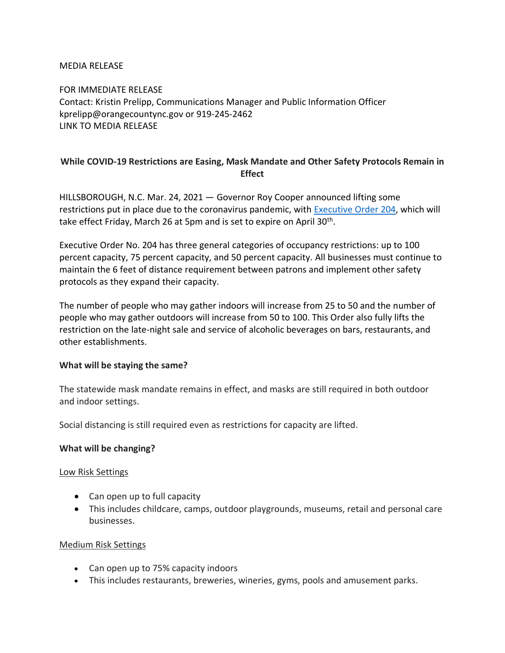#### MEDIA RELEASE

FOR IMMEDIATE RELEASE Contact: Kristin Prelipp, Communications Manager and Public Information Officer kprelipp@orangecountync.gov or 919-245-2462 [LINK TO MEDIA RELEASE](https://www.orangecountync.gov/DocumentCenter/View/15263/Orange-County-to-Ease-Some-COVID-19-Restrictions-FINAL)

## **While COVID-19 Restrictions are Easing, Mask Mandate and Other Safety Protocols Remain in Effect**

HILLSBOROUGH, N.C. Mar. 24, 2021 ― Governor Roy Cooper announced lifting some restrictions put in place due to the coronavirus pandemic, with [Executive Order 204,](https://files.nc.gov/governor/documents/files/EO204-Further-Easing-Restrictions.pdf) which will take effect Friday, March 26 at 5pm and is set to expire on April 30<sup>th</sup>.

Executive Order No. 204 has three general categories of occupancy restrictions: up to 100 percent capacity, 75 percent capacity, and 50 percent capacity. All businesses must continue to maintain the 6 feet of distance requirement between patrons and implement other safety protocols as they expand their capacity.

The number of people who may gather indoors will increase from 25 to 50 and the number of people who may gather outdoors will increase from 50 to 100. This Order also fully lifts the restriction on the late-night sale and service of alcoholic beverages on bars, restaurants, and other establishments.

### **What will be staying the same?**

The statewide mask mandate remains in effect, and masks are still required in both outdoor and indoor settings.

Social distancing is still required even as restrictions for capacity are lifted.

### **What will be changing?**

### Low Risk Settings

- Can open up to full capacity
- This includes childcare, camps, outdoor playgrounds, museums, retail and personal care businesses.

### Medium Risk Settings

- Can open up to 75% capacity indoors
- This includes restaurants, breweries, wineries, gyms, pools and amusement parks.